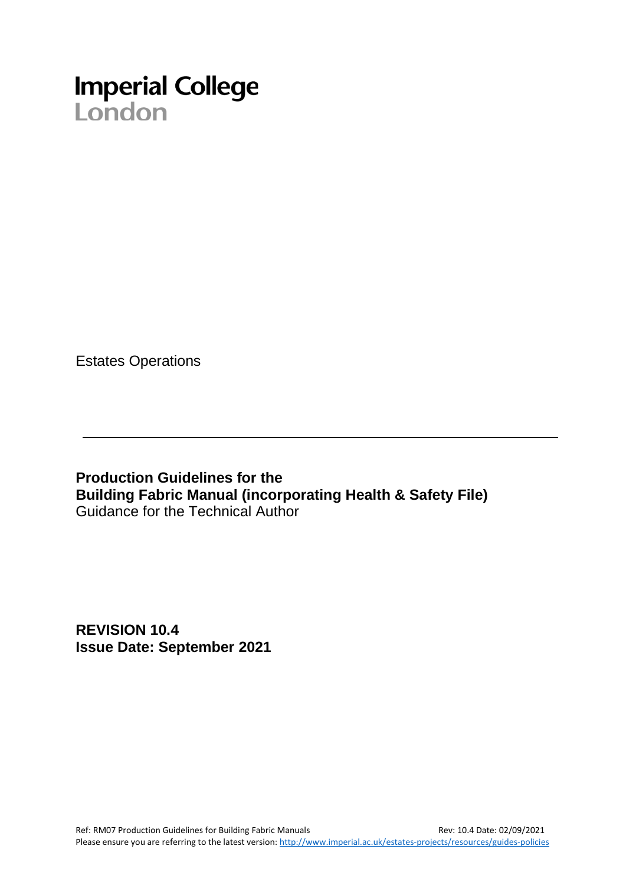# **Imperial College**<br>London

Estates Operations

**Production Guidelines for the Building Fabric Manual (incorporating Health & Safety File)** Guidance for the Technical Author

**REVISION 10.4 Issue Date: September 2021**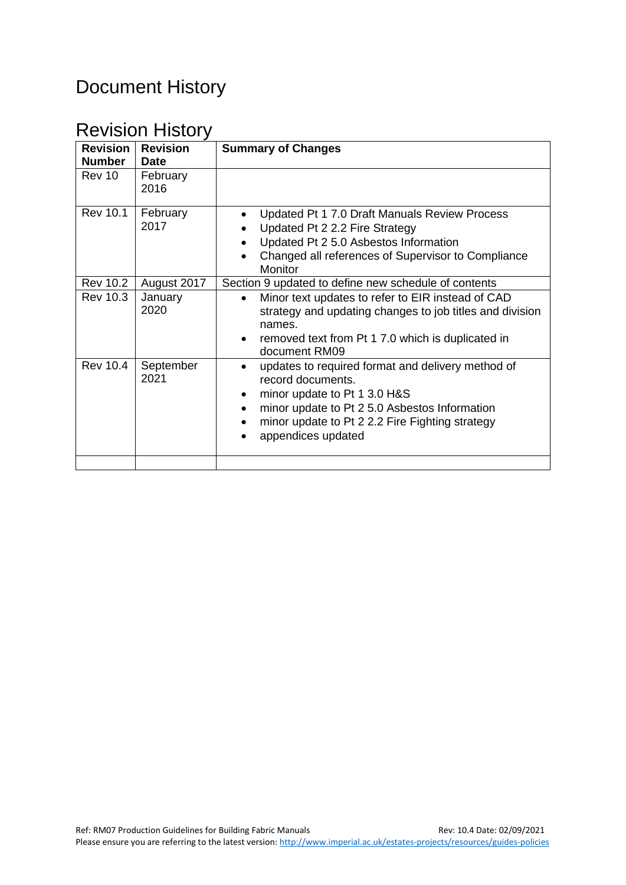# Document History

# Revision History

| <b>Revision</b><br><b>Number</b> | <b>Revision</b><br><b>Date</b> | <b>Summary of Changes</b>                                                                                                                                                                                                                                  |  |  |
|----------------------------------|--------------------------------|------------------------------------------------------------------------------------------------------------------------------------------------------------------------------------------------------------------------------------------------------------|--|--|
| Rev 10                           | February<br>2016               |                                                                                                                                                                                                                                                            |  |  |
| <b>Rev 10.1</b>                  | February<br>2017               | Updated Pt 1 7.0 Draft Manuals Review Process<br>Updated Pt 2 2.2 Fire Strategy<br>Updated Pt 2 5.0 Asbestos Information<br>Changed all references of Supervisor to Compliance<br>$\bullet$<br><b>Monitor</b>                                              |  |  |
| <b>Rev 10.2</b>                  | August 2017                    | Section 9 updated to define new schedule of contents                                                                                                                                                                                                       |  |  |
| <b>Rev 10.3</b>                  | January<br>2020                | Minor text updates to refer to EIR instead of CAD<br>$\bullet$<br>strategy and updating changes to job titles and division<br>names.<br>removed text from Pt 1 7.0 which is duplicated in<br>$\bullet$<br>document RM09                                    |  |  |
| <b>Rev 10.4</b>                  | September<br>2021              | updates to required format and delivery method of<br>$\bullet$<br>record documents.<br>minor update to Pt 1 3.0 H&S<br>$\bullet$<br>minor update to Pt 2 5.0 Asbestos Information<br>minor update to Pt 2 2.2 Fire Fighting strategy<br>appendices updated |  |  |
|                                  |                                |                                                                                                                                                                                                                                                            |  |  |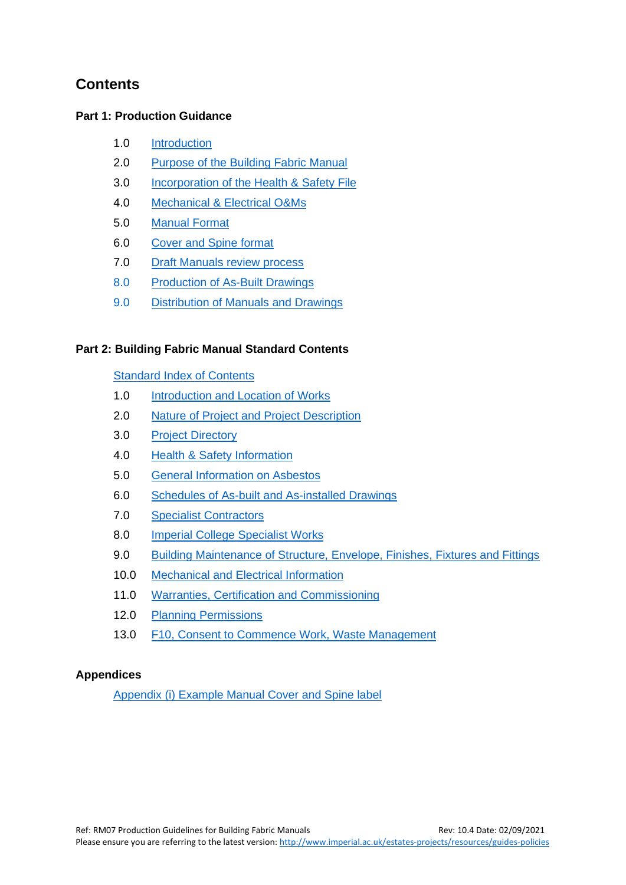## **Contents**

#### **Part 1: Production Guidance**

- 1.0 [Introduction](#page-3-0)
- 2.0 [Purpose of the Building Fabric Manual](#page-3-1)
- 3.0 [Incorporation of the Health & Safety File](#page-3-2)
- 4.0 [Mechanical & Electrical O&Ms](#page-4-0)
- 5.0 [Manual Format](#page-5-0)
- 6.0 [Cover and Spine format](#page-6-0)
- 7.0 [Draft Manuals review](#page-6-1) process
- 8.0 [Production of As-Built Drawings](#page-6-2)
- 9.0 [Distribution of Manuals and Drawings](#page-7-0)

#### **Part 2: Building Fabric Manual Standard Contents**

#### Standard [Index of Contents](#page-8-0)

- 1.0 [Introduction and Location of Works](#page-9-0)
- 2.0 [Nature of Project and Project Description](#page-9-1)
- 3.0 [Project Directory](#page-10-0)
- 4.0 [Health & Safety Information](#page-10-1)
- 5.0 [General Information on Asbestos](#page-11-0)
- 6.0 [Schedules of As-built and As-installed Drawings](#page-11-1)
- 7.0 [Specialist Contractors](#page-11-2)
- 8.0 [Imperial College Specialist Works](#page-12-0)
- 9.0 [Building Maintenance of Structure, Envelope, Finishes, Fixtures and Fittings](#page-12-1)
- 10.0 [Mechanical and Electrical Information](#page-13-0)
- 11.0 [Warranties, Certification and Commissioning](#page-14-0)
- 12.0 [Planning Permissions](#page-14-1)
- 13.0 F10, [Consent to Commence Work, Waste Management](#page-14-2)

#### **Appendices**

[Appendix \(i\) Example Manual Cover](#page-15-0) and Spine label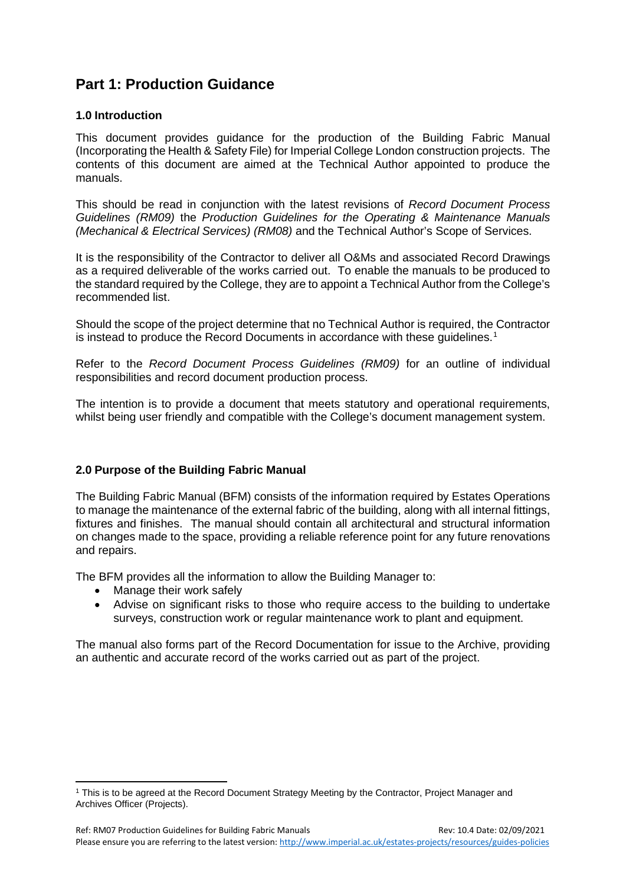## **Part 1: Production Guidance**

#### <span id="page-3-0"></span>**1.0 Introduction**

This document provides guidance for the production of the Building Fabric Manual (Incorporating the Health & Safety File) for Imperial College London construction projects. The contents of this document are aimed at the Technical Author appointed to produce the manuals.

This should be read in conjunction with the latest revisions of *Record Document Process Guidelines (RM09)* the *Production Guidelines for the Operating & Maintenance Manuals (Mechanical & Electrical Services) (RM08)* and the Technical Author's Scope of Services.

It is the responsibility of the Contractor to deliver all O&Ms and associated Record Drawings as a required deliverable of the works carried out. To enable the manuals to be produced to the standard required by the College, they are to appoint a Technical Author from the College's recommended list.

Should the scope of the project determine that no Technical Author is required, the Contractor is instead to produce the Record Documents in accordance with these quidelines.<sup>[1](#page-3-3)</sup>

Refer to the *Record Document Process Guidelines (RM09)* for an outline of individual responsibilities and record document production process.

The intention is to provide a document that meets statutory and operational requirements, whilst being user friendly and compatible with the College's document management system.

#### <span id="page-3-1"></span>**2.0 Purpose of the Building Fabric Manual**

The Building Fabric Manual (BFM) consists of the information required by Estates Operations to manage the maintenance of the external fabric of the building, along with all internal fittings, fixtures and finishes. The manual should contain all architectural and structural information on changes made to the space, providing a reliable reference point for any future renovations and repairs.

The BFM provides all the information to allow the Building Manager to:

- Manage their work safely
- Advise on significant risks to those who require access to the building to undertake surveys, construction work or regular maintenance work to plant and equipment.

<span id="page-3-2"></span>The manual also forms part of the Record Documentation for issue to the Archive, providing an authentic and accurate record of the works carried out as part of the project.

<span id="page-3-3"></span><sup>1</sup> This is to be agreed at the Record Document Strategy Meeting by the Contractor, Project Manager and Archives Officer (Projects).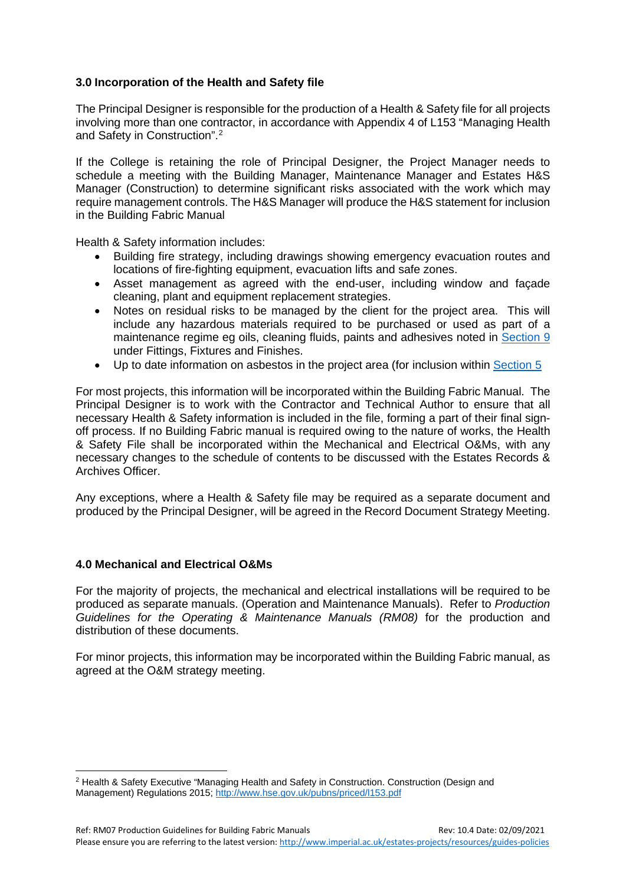#### **3.0 Incorporation of the Health and Safety file**

The Principal Designer is responsible for the production of a Health & Safety file for all projects involving more than one contractor, in accordance with Appendix 4 of L153 "Managing Health and Safety in Construction". [2](#page-4-1)

If the College is retaining the role of Principal Designer, the Project Manager needs to schedule a meeting with the Building Manager, Maintenance Manager and Estates H&S Manager (Construction) to determine significant risks associated with the work which may require management controls. The H&S Manager will produce the H&S statement for inclusion in the Building Fabric Manual

Health & Safety information includes:

- Building fire strategy, including drawings showing emergency evacuation routes and locations of fire-fighting equipment, evacuation lifts and safe zones.
- Asset management as agreed with the end-user, including window and façade cleaning, plant and equipment replacement strategies.
- Notes on residual risks to be managed by the client for the project area. This will include any hazardous materials required to be purchased or used as part of a maintenance regime eg oils, cleaning fluids, paints and adhesives noted in [Section 9](#page-12-1) under Fittings, Fixtures and Finishes.
- Up to date information on asbestos in the project area (for inclusion within [Section 5](#page-11-0)

For most projects, this information will be incorporated within the Building Fabric Manual. The Principal Designer is to work with the Contractor and Technical Author to ensure that all necessary Health & Safety information is included in the file, forming a part of their final signoff process. If no Building Fabric manual is required owing to the nature of works, the Health & Safety File shall be incorporated within the Mechanical and Electrical O&Ms, with any necessary changes to the schedule of contents to be discussed with the Estates Records & Archives Officer.

Any exceptions, where a Health & Safety file may be required as a separate document and produced by the Principal Designer, will be agreed in the Record Document Strategy Meeting.

#### <span id="page-4-0"></span>**4.0 Mechanical and Electrical O&Ms**

For the majority of projects, the mechanical and electrical installations will be required to be produced as separate manuals. (Operation and Maintenance Manuals). Refer to *Production Guidelines for the Operating & Maintenance Manuals (RM08)* for the production and distribution of these documents.

For minor projects, this information may be incorporated within the Building Fabric manual, as agreed at the O&M strategy meeting.

<span id="page-4-1"></span><sup>2</sup> Health & Safety Executive "Managing Health and Safety in Construction. Construction (Design and Management) Regulations 2015;<http://www.hse.gov.uk/pubns/priced/l153.pdf>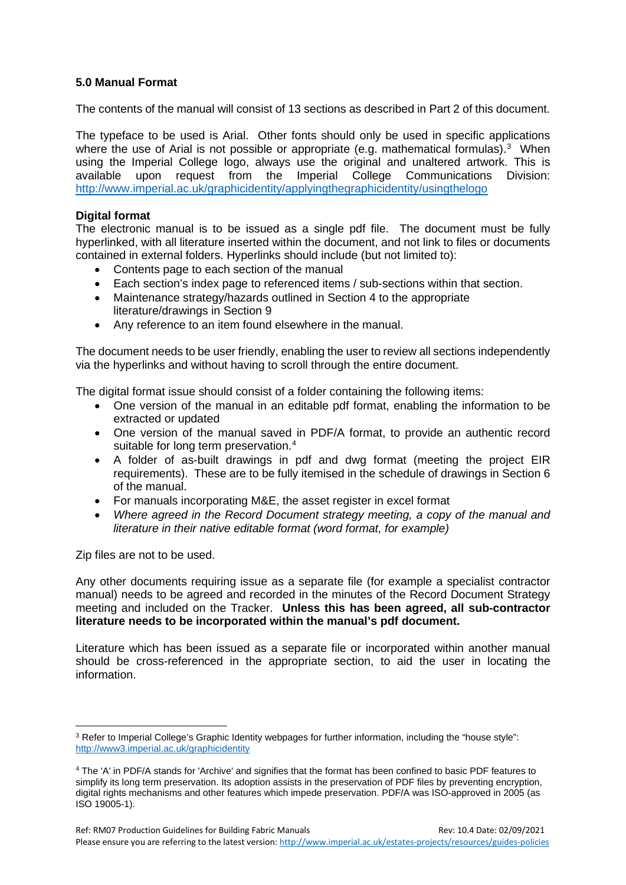#### <span id="page-5-0"></span>**5.0 Manual Format**

The contents of the manual will consist of 13 sections as described in Part 2 of this document.

The typeface to be used is Arial. Other fonts should only be used in specific applications where the use of Arial is not possible or appropriate (e.g. mathematical formulas). $3$  When using the Imperial College logo, always use the original and unaltered artwork. This is available upon request from the Imperial College Communications Division: <http://www.imperial.ac.uk/graphicidentity/applyingthegraphicidentity/usingthelogo>

#### **Digital format**

The electronic manual is to be issued as a single pdf file. The document must be fully hyperlinked, with all literature inserted within the document, and not link to files or documents contained in external folders. Hyperlinks should include (but not limited to):

- Contents page to each section of the manual
- Each section's index page to referenced items / sub-sections within that section.
- Maintenance strategy/hazards outlined in Section 4 to the appropriate literature/drawings in Section 9
- Any reference to an item found elsewhere in the manual.

The document needs to be user friendly, enabling the user to review all sections independently via the hyperlinks and without having to scroll through the entire document.

The digital format issue should consist of a folder containing the following items:

- One version of the manual in an editable pdf format, enabling the information to be extracted or updated
- One version of the manual saved in PDF/A format, to provide an authentic record suitable for long term preservation.<sup>[4](#page-5-2)</sup>
- A folder of as-built drawings in pdf and dwg format (meeting the project EIR requirements). These are to be fully itemised in the schedule of drawings in Section 6 of the manual.
- For manuals incorporating M&E, the asset register in excel format
- *Where agreed in the Record Document strategy meeting, a copy of the manual and literature in their native editable format (word format, for example)*

Zip files are not to be used.

Any other documents requiring issue as a separate file (for example a specialist contractor manual) needs to be agreed and recorded in the minutes of the Record Document Strategy meeting and included on the Tracker. **Unless this has been agreed, all sub-contractor literature needs to be incorporated within the manual's pdf document.**

Literature which has been issued as a separate file or incorporated within another manual should be cross-referenced in the appropriate section, to aid the user in locating the information.

<span id="page-5-1"></span><sup>3</sup> Refer to Imperial College's Graphic Identity webpages for further information, including the "house style": <http://www3.imperial.ac.uk/graphicidentity>

<span id="page-5-2"></span><sup>4</sup> The 'A' in PDF/A stands for 'Archive' and signifies that the format has been confined to basic PDF features to simplify its long term preservation. Its adoption assists in the preservation of PDF files by preventing encryption, digital rights mechanisms and other features which impede preservation. PDF/A was ISO-approved in 2005 (as ISO 19005-1).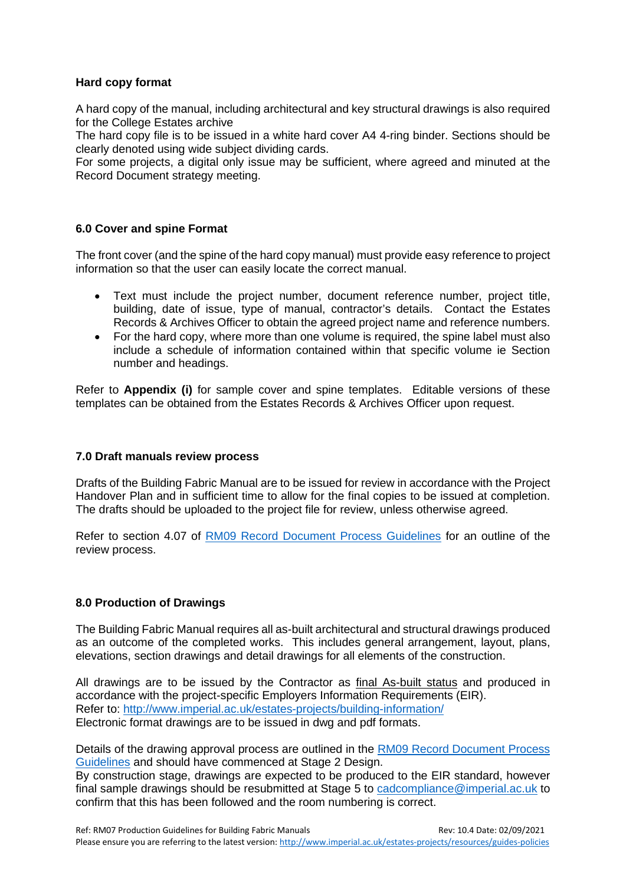#### **Hard copy format**

A hard copy of the manual, including architectural and key structural drawings is also required for the College Estates archive

The hard copy file is to be issued in a white hard cover A4 4-ring binder. Sections should be clearly denoted using wide subject dividing cards.

For some projects, a digital only issue may be sufficient, where agreed and minuted at the Record Document strategy meeting.

#### <span id="page-6-0"></span>**6.0 Cover and spine Format**

The front cover (and the spine of the hard copy manual) must provide easy reference to project information so that the user can easily locate the correct manual.

- Text must include the project number, document reference number, project title, building, date of issue, type of manual, contractor's details. Contact the Estates Records & Archives Officer to obtain the agreed project name and reference numbers.
- For the hard copy, where more than one volume is required, the spine label must also include a schedule of information contained within that specific volume ie Section number and headings.

Refer to **Appendix (i)** for sample cover and spine templates. Editable versions of these templates can be obtained from the Estates Records & Archives Officer upon request.

#### <span id="page-6-1"></span>**7.0 Draft manuals review process**

Drafts of the Building Fabric Manual are to be issued for review in accordance with the Project Handover Plan and in sufficient time to allow for the final copies to be issued at completion. The drafts should be uploaded to the project file for review, unless otherwise agreed.

Refer to section 4.07 of [RM09 Record Document Process Guidelines](https://www.imperial.ac.uk/media/imperial-college/administration-and-support-services/estates-projects/public/resources/guides/rm09recorddocs.pdf) for an outline of the review process.

#### <span id="page-6-2"></span>**8.0 Production of Drawings**

The Building Fabric Manual requires all as-built architectural and structural drawings produced as an outcome of the completed works. This includes general arrangement, layout, plans, elevations, section drawings and detail drawings for all elements of the construction.

All drawings are to be issued by the Contractor as final As-built status and produced in accordance with the project-specific Employers Information Requirements (EIR). Refer to:<http://www.imperial.ac.uk/estates-projects/building-information/> Electronic format drawings are to be issued in dwg and pdf formats.

Details of the drawing approval process are outlined in the [RM09 Record Document Process](https://www.imperial.ac.uk/media/imperial-college/administration-and-support-services/estates-projects/public/resources/guides/rm09recorddocs.pdf)  [Guidelines](https://www.imperial.ac.uk/media/imperial-college/administration-and-support-services/estates-projects/public/resources/guides/rm09recorddocs.pdf) and should have commenced at Stage 2 Design.

By construction stage, drawings are expected to be produced to the EIR standard, however final sample drawings should be resubmitted at Stage 5 to [cadcompliance@imperial.ac.uk](mailto:cadcompliance@imperial.ac.uk) to confirm that this has been followed and the room numbering is correct.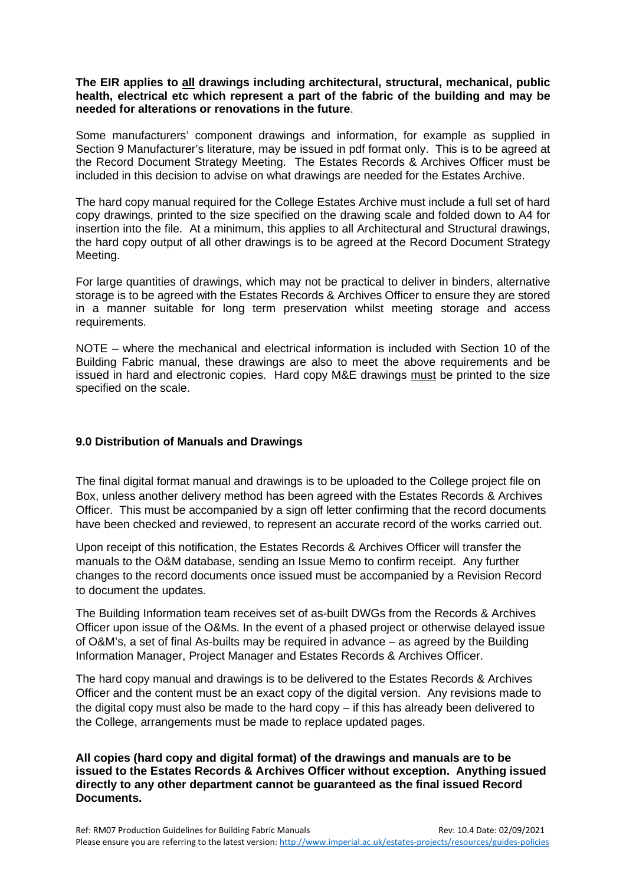#### **The EIR applies to all drawings including architectural, structural, mechanical, public health, electrical etc which represent a part of the fabric of the building and may be needed for alterations or renovations in the future**.

Some manufacturers' component drawings and information, for example as supplied in Section 9 Manufacturer's literature, may be issued in pdf format only. This is to be agreed at the Record Document Strategy Meeting. The Estates Records & Archives Officer must be included in this decision to advise on what drawings are needed for the Estates Archive.

The hard copy manual required for the College Estates Archive must include a full set of hard copy drawings, printed to the size specified on the drawing scale and folded down to A4 for insertion into the file. At a minimum, this applies to all Architectural and Structural drawings, the hard copy output of all other drawings is to be agreed at the Record Document Strategy Meeting.

For large quantities of drawings, which may not be practical to deliver in binders, alternative storage is to be agreed with the Estates Records & Archives Officer to ensure they are stored in a manner suitable for long term preservation whilst meeting storage and access requirements.

NOTE – where the mechanical and electrical information is included with Section 10 of the Building Fabric manual, these drawings are also to meet the above requirements and be issued in hard and electronic copies. Hard copy M&E drawings must be printed to the size specified on the scale.

#### <span id="page-7-0"></span>**9.0 Distribution of Manuals and Drawings**

The final digital format manual and drawings is to be uploaded to the College project file on Box, unless another delivery method has been agreed with the Estates Records & Archives Officer. This must be accompanied by a sign off letter confirming that the record documents have been checked and reviewed, to represent an accurate record of the works carried out.

Upon receipt of this notification, the Estates Records & Archives Officer will transfer the manuals to the O&M database, sending an Issue Memo to confirm receipt. Any further changes to the record documents once issued must be accompanied by a Revision Record to document the updates.

The Building Information team receives set of as-built DWGs from the Records & Archives Officer upon issue of the O&Ms. In the event of a phased project or otherwise delayed issue of O&M's, a set of final As-builts may be required in advance – as agreed by the Building Information Manager, Project Manager and Estates Records & Archives Officer.

The hard copy manual and drawings is to be delivered to the Estates Records & Archives Officer and the content must be an exact copy of the digital version. Any revisions made to the digital copy must also be made to the hard copy – if this has already been delivered to the College, arrangements must be made to replace updated pages.

**All copies (hard copy and digital format) of the drawings and manuals are to be issued to the Estates Records & Archives Officer without exception. Anything issued directly to any other department cannot be guaranteed as the final issued Record Documents.**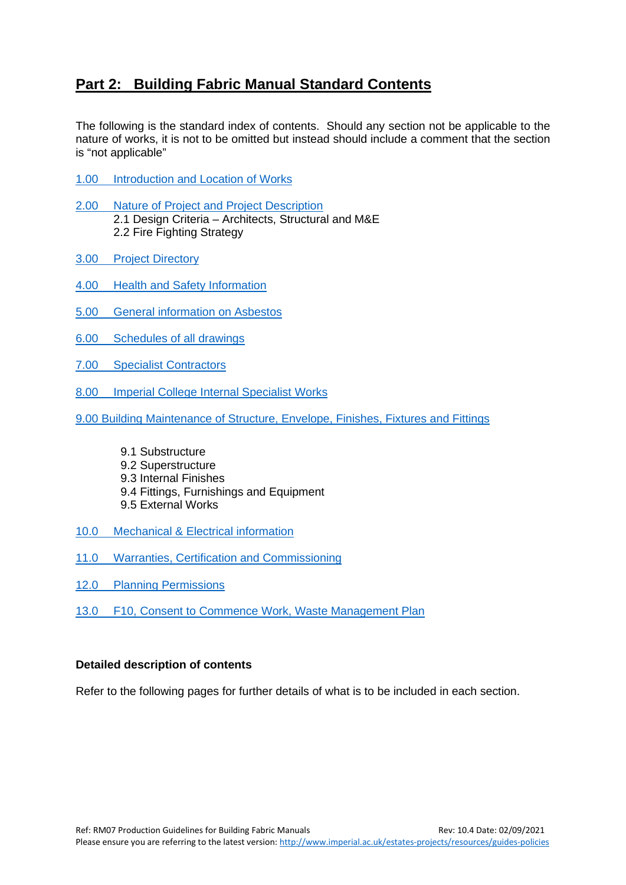## <span id="page-8-0"></span>**Part 2: Building Fabric Manual Standard Contents**

The following is the standard index of contents. Should any section not be applicable to the nature of works, it is not to be omitted but instead should include a comment that the section is "not applicable"

- 1.00 [Introduction and Location of Works](#page-9-0)
- 2.00 [Nature of Project and Project Description](#page-9-1) 2.1 Design Criteria – Architects, Structural and M&E 2.2 Fire Fighting Strategy
- 3.00 [Project Directory](#page-10-0)
- 4.00 [Health and Safety Information](#page-10-1)
- 5.00 [General information on Asbestos](#page-11-0)
- 6.00 [Schedules of all drawings](#page-11-1)
- 7.00 [Specialist Contractors](#page-11-2)
- 8.00 [Imperial College Internal Specialist Works](#page-12-0)
- [9.00 Building Maintenance of Structure, Envelope, Finishes, Fixtures and Fittings](#page-12-1)
	- 9.1 Substructure 9.2 Superstructure 9.3 Internal Finishes
	- 9.4 Fittings, Furnishings and Equipment
	- 9.5 External Works
- 10.0 [Mechanical & Electrical information](#page-13-0)
- 11.0 [Warranties, Certification and Commissioning](#page-14-0)
- 12.0 [Planning Permissions](#page-14-1)
- 13.0 [F10, Consent to Commence Work, Waste Management Plan](#page-14-2)

#### **Detailed description of contents**

Refer to the following pages for further details of what is to be included in each section.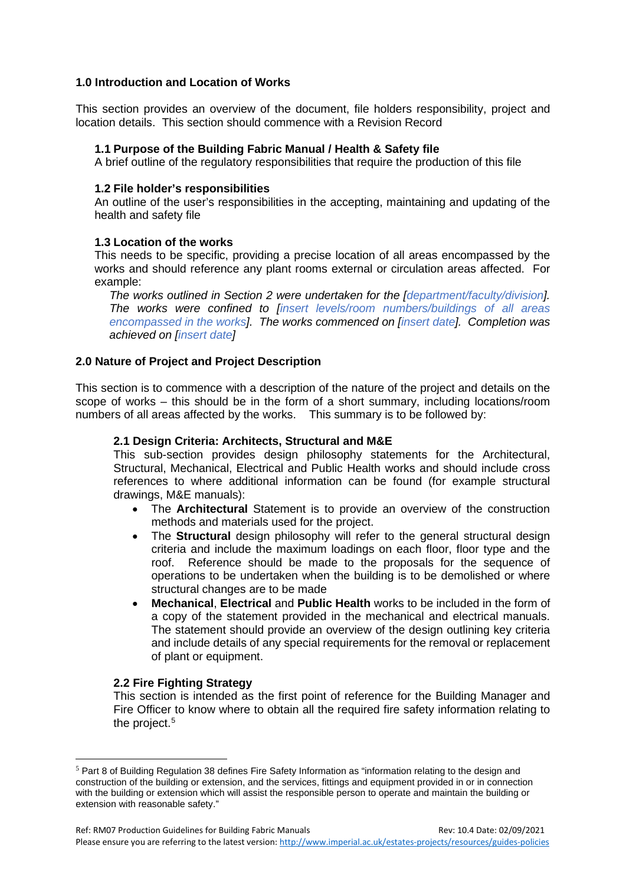#### <span id="page-9-0"></span>**1.0 Introduction and Location of Works**

This section provides an overview of the document, file holders responsibility, project and location details. This section should commence with a Revision Record

#### **1.1 Purpose of the Building Fabric Manual / Health & Safety file**

A brief outline of the regulatory responsibilities that require the production of this file

#### **1.2 File holder's responsibilities**

An outline of the user's responsibilities in the accepting, maintaining and updating of the health and safety file

#### **1.3 Location of the works**

This needs to be specific, providing a precise location of all areas encompassed by the works and should reference any plant rooms external or circulation areas affected. For example:

*The works outlined in Section 2 were undertaken for the [department/faculty/division]. The works were confined to [insert levels/room numbers/buildings of all areas encompassed in the works]. The works commenced on [insert date]. Completion was achieved on [insert date]*

#### <span id="page-9-1"></span>**2.0 Nature of Project and Project Description**

This section is to commence with a description of the nature of the project and details on the scope of works – this should be in the form of a short summary, including locations/room numbers of all areas affected by the works. This summary is to be followed by:

#### **2.1 Design Criteria: Architects, Structural and M&E**

This sub-section provides design philosophy statements for the Architectural, Structural, Mechanical, Electrical and Public Health works and should include cross references to where additional information can be found (for example structural drawings, M&E manuals):

- The **Architectural** Statement is to provide an overview of the construction methods and materials used for the project.
- The **Structural** design philosophy will refer to the general structural design criteria and include the maximum loadings on each floor, floor type and the roof. Reference should be made to the proposals for the sequence of operations to be undertaken when the building is to be demolished or where structural changes are to be made
- **Mechanical**, **Electrical** and **Public Health** works to be included in the form of a copy of the statement provided in the mechanical and electrical manuals. The statement should provide an overview of the design outlining key criteria and include details of any special requirements for the removal or replacement of plant or equipment.

#### **2.2 Fire Fighting Strategy**

This section is intended as the first point of reference for the Building Manager and Fire Officer to know where to obtain all the required fire safety information relating to the project.<sup>[5](#page-9-2)</sup>

<span id="page-9-2"></span><sup>5</sup> Part 8 of Building Regulation 38 defines Fire Safety Information as "information relating to the design and construction of the building or extension, and the services, fittings and equipment provided in or in connection with the building or extension which will assist the responsible person to operate and maintain the building or extension with reasonable safety."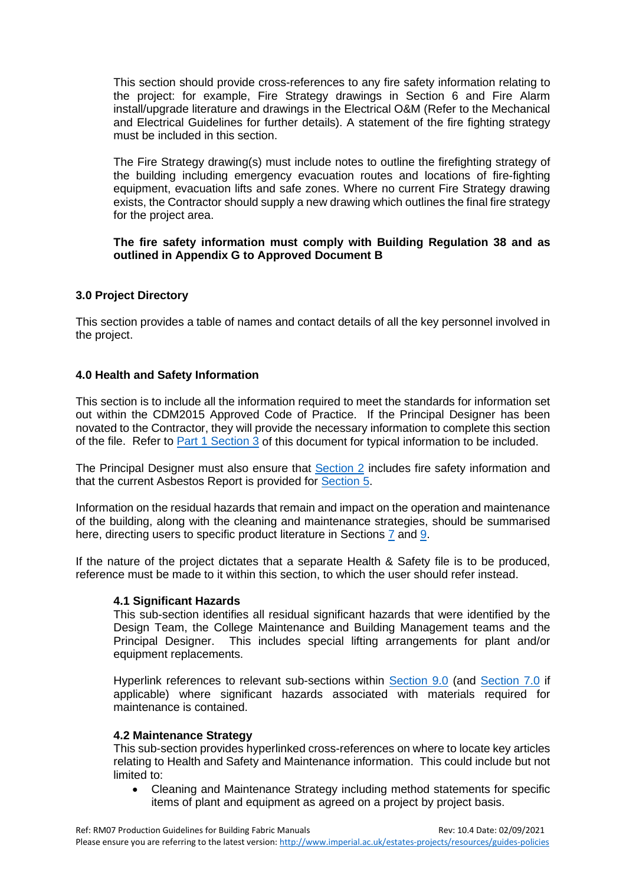This section should provide cross-references to any fire safety information relating to the project: for example, Fire Strategy drawings in Section 6 and Fire Alarm install/upgrade literature and drawings in the Electrical O&M (Refer to the Mechanical and Electrical Guidelines for further details). A statement of the fire fighting strategy must be included in this section.

The Fire Strategy drawing(s) must include notes to outline the firefighting strategy of the building including emergency evacuation routes and locations of fire-fighting equipment, evacuation lifts and safe zones. Where no current Fire Strategy drawing exists, the Contractor should supply a new drawing which outlines the final fire strategy for the project area.

#### **The fire safety information must comply with Building Regulation 38 and as outlined in Appendix G to Approved Document B**

#### <span id="page-10-0"></span>**3.0 Project Directory**

This section provides a table of names and contact details of all the key personnel involved in the project.

#### <span id="page-10-1"></span>**4.0 Health and Safety Information**

This section is to include all the information required to meet the standards for information set out within the CDM2015 Approved Code of Practice. If the Principal Designer has been novated to the Contractor, they will provide the necessary information to complete this section of the file. Refer to [Part 1 Section 3](#page-3-2) of this document for typical information to be included.

The Principal Designer must also ensure that [Section 2](#page-9-1) includes fire safety information and that the current Asbestos Report is provided for [Section 5.](#page-11-0)

Information on the residual hazards that remain and impact on the operation and maintenance of the building, along with the cleaning and maintenance strategies, should be summarised here, directing users to specific product literature in Sections [7](#page-11-2) and [9.](#page-12-1)

If the nature of the project dictates that a separate Health & Safety file is to be produced, reference must be made to it within this section, to which the user should refer instead.

#### **4.1 Significant Hazards**

This sub-section identifies all residual significant hazards that were identified by the Design Team, the College Maintenance and Building Management teams and the Principal Designer. This includes special lifting arrangements for plant and/or equipment replacements.

Hyperlink references to relevant sub-sections within [Section 9.0](#page-12-1) (and [Section 7.0](#page-11-2) if applicable) where significant hazards associated with materials required for maintenance is contained.

#### **4.2 Maintenance Strategy**

This sub-section provides hyperlinked cross-references on where to locate key articles relating to Health and Safety and Maintenance information. This could include but not limited to:

• Cleaning and Maintenance Strategy including method statements for specific items of plant and equipment as agreed on a project by project basis.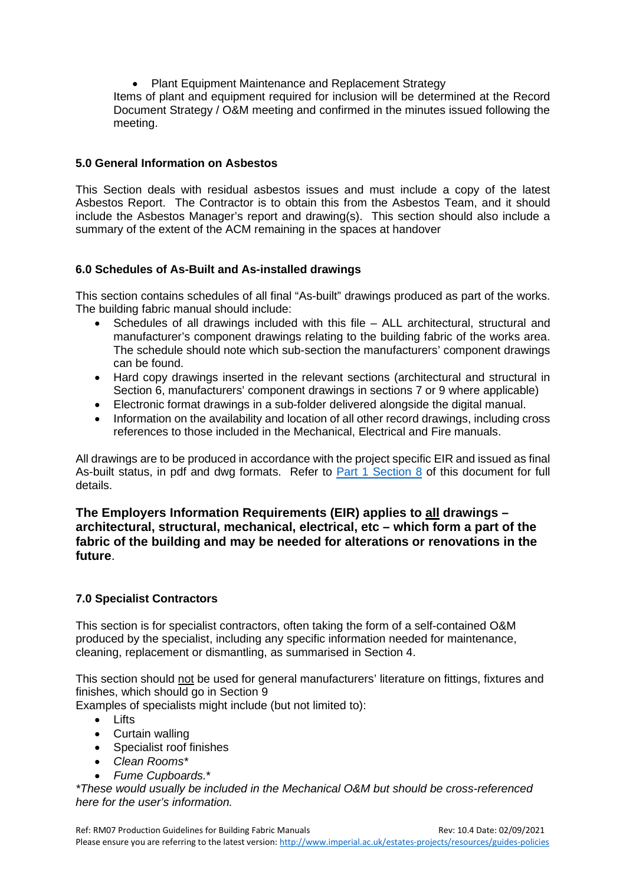• Plant Equipment Maintenance and Replacement Strategy

Items of plant and equipment required for inclusion will be determined at the Record Document Strategy / O&M meeting and confirmed in the minutes issued following the meeting.

#### <span id="page-11-0"></span>**5.0 General Information on Asbestos**

This Section deals with residual asbestos issues and must include a copy of the latest Asbestos Report. The Contractor is to obtain this from the Asbestos Team, and it should include the Asbestos Manager's report and drawing(s). This section should also include a summary of the extent of the ACM remaining in the spaces at handover

#### <span id="page-11-1"></span>**6.0 Schedules of As-Built and As-installed drawings**

This section contains schedules of all final "As-built" drawings produced as part of the works. The building fabric manual should include:

- Schedules of all drawings included with this file ALL architectural, structural and manufacturer's component drawings relating to the building fabric of the works area. The schedule should note which sub-section the manufacturers' component drawings can be found.
- Hard copy drawings inserted in the relevant sections (architectural and structural in Section 6, manufacturers' component drawings in sections 7 or 9 where applicable)
- Electronic format drawings in a sub-folder delivered alongside the digital manual.
- Information on the availability and location of all other record drawings, including cross references to those included in the Mechanical, Electrical and Fire manuals.

All drawings are to be produced in accordance with the project specific EIR and issued as final As-built status, in pdf and dwg formats. Refer to [Part 1 Section 8](#page-6-2) of this document for full details.

#### **The Employers Information Requirements (EIR) applies to all drawings – architectural, structural, mechanical, electrical, etc – which form a part of the fabric of the building and may be needed for alterations or renovations in the future**.

#### <span id="page-11-2"></span>**7.0 Specialist Contractors**

This section is for specialist contractors, often taking the form of a self-contained O&M produced by the specialist, including any specific information needed for maintenance, cleaning, replacement or dismantling, as summarised in Section 4.

This section should not be used for general manufacturers' literature on fittings, fixtures and finishes, which should go in Section 9

Examples of specialists might include (but not limited to):

- Lifts
- Curtain walling
- Specialist roof finishes
- *Clean Rooms\**
- *Fume Cupboards.*\*

*\*These would usually be included in the Mechanical O&M but should be cross-referenced here for the user's information.*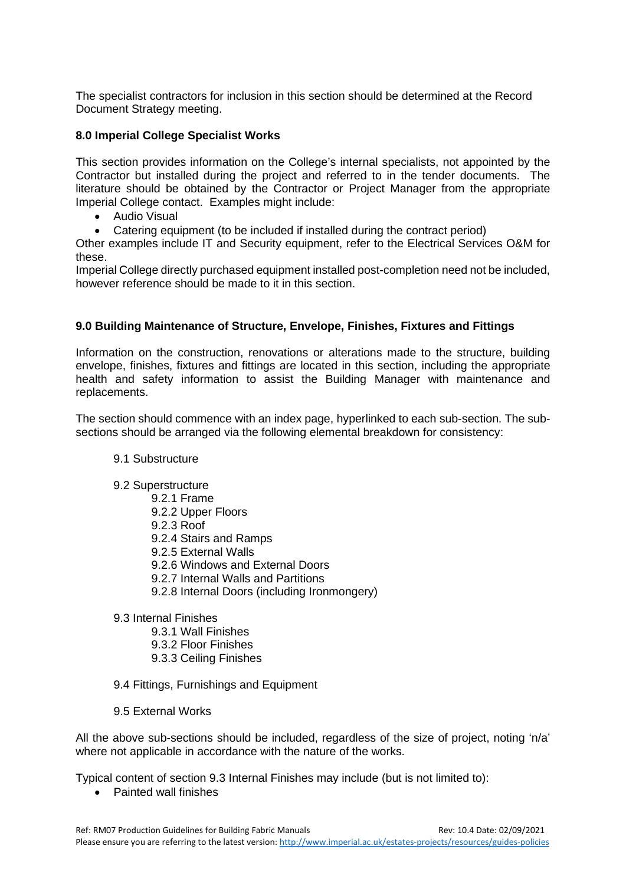The specialist contractors for inclusion in this section should be determined at the Record Document Strategy meeting.

#### <span id="page-12-0"></span>**8.0 Imperial College Specialist Works**

This section provides information on the College's internal specialists, not appointed by the Contractor but installed during the project and referred to in the tender documents. The literature should be obtained by the Contractor or Project Manager from the appropriate Imperial College contact. Examples might include:

- Audio Visual
- Catering equipment (to be included if installed during the contract period)

Other examples include IT and Security equipment, refer to the Electrical Services O&M for these.

Imperial College directly purchased equipment installed post-completion need not be included, however reference should be made to it in this section.

#### <span id="page-12-1"></span>**9.0 Building Maintenance of Structure, Envelope, Finishes, Fixtures and Fittings**

Information on the construction, renovations or alterations made to the structure, building envelope, finishes, fixtures and fittings are located in this section, including the appropriate health and safety information to assist the Building Manager with maintenance and replacements.

The section should commence with an index page, hyperlinked to each sub-section. The subsections should be arranged via the following elemental breakdown for consistency:

#### 9.1 Substructure

- 9.2 Superstructure
	- 9.2.1 Frame
	- 9.2.2 Upper Floors
	- 9.2.3 Roof
	- 9.2.4 Stairs and Ramps
	- 9.2.5 External Walls
	- 9.2.6 Windows and External Doors
	- 9.2.7 Internal Walls and Partitions
	- 9.2.8 Internal Doors (including Ironmongery)
- 9.3 Internal Finishes
	- 9.3.1 Wall Finishes
	- 9.3.2 Floor Finishes
	- 9.3.3 Ceiling Finishes
- 9.4 Fittings, Furnishings and Equipment
- 9.5 External Works

All the above sub-sections should be included, regardless of the size of project, noting 'n/a' where not applicable in accordance with the nature of the works.

Typical content of section 9.3 Internal Finishes may include (but is not limited to):

• Painted wall finishes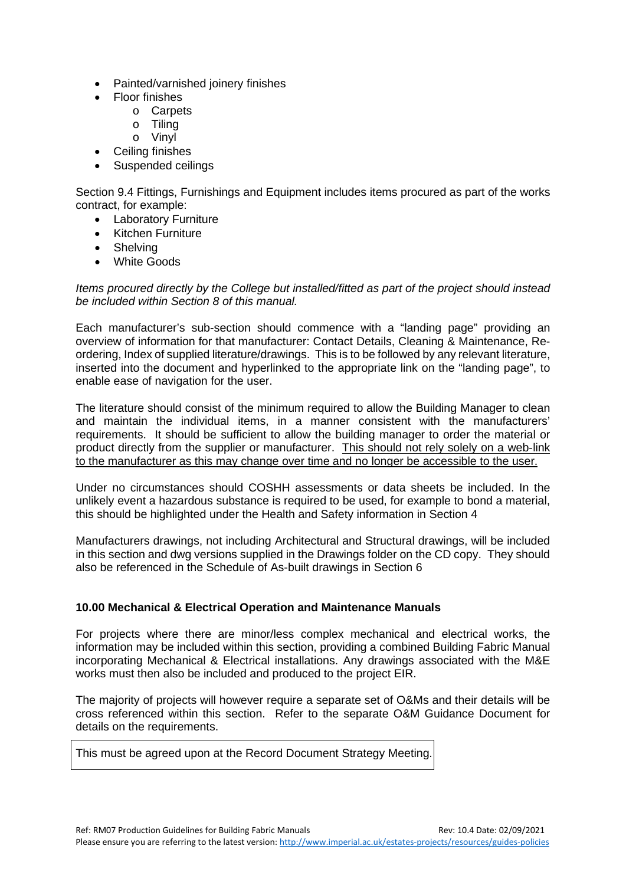- Painted/varnished joinery finishes
- Floor finishes
	- o Carpets
	- o Tiling
	- o Vinyl
- Ceiling finishes
- Suspended ceilings

Section 9.4 Fittings, Furnishings and Equipment includes items procured as part of the works contract, for example:

- Laboratory Furniture
- Kitchen Furniture
- Shelving
- White Goods

*Items procured directly by the College but installed/fitted as part of the project should instead be included within Section 8 of this manual.*

Each manufacturer's sub-section should commence with a "landing page" providing an overview of information for that manufacturer: Contact Details, Cleaning & Maintenance, Reordering, Index of supplied literature/drawings. This is to be followed by any relevant literature, inserted into the document and hyperlinked to the appropriate link on the "landing page", to enable ease of navigation for the user.

The literature should consist of the minimum required to allow the Building Manager to clean and maintain the individual items, in a manner consistent with the manufacturers' requirements. It should be sufficient to allow the building manager to order the material or product directly from the supplier or manufacturer. This should not rely solely on a web-link to the manufacturer as this may change over time and no longer be accessible to the user.

Under no circumstances should COSHH assessments or data sheets be included. In the unlikely event a hazardous substance is required to be used, for example to bond a material, this should be highlighted under the Health and Safety information in Section 4

Manufacturers drawings, not including Architectural and Structural drawings, will be included in this section and dwg versions supplied in the Drawings folder on the CD copy. They should also be referenced in the Schedule of As-built drawings in Section 6

#### <span id="page-13-0"></span>**10.00 Mechanical & Electrical Operation and Maintenance Manuals**

For projects where there are minor/less complex mechanical and electrical works, the information may be included within this section, providing a combined Building Fabric Manual incorporating Mechanical & Electrical installations. Any drawings associated with the M&E works must then also be included and produced to the project EIR.

The majority of projects will however require a separate set of O&Ms and their details will be cross referenced within this section. Refer to the separate O&M Guidance Document for details on the requirements.

This must be agreed upon at the Record Document Strategy Meeting.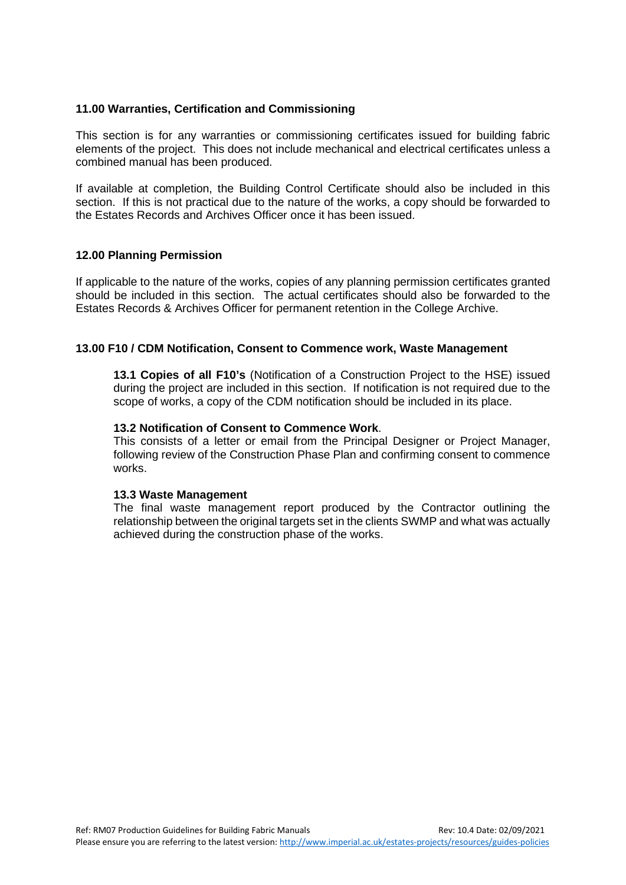#### <span id="page-14-0"></span>**11.00 Warranties, Certification and Commissioning**

This section is for any warranties or commissioning certificates issued for building fabric elements of the project. This does not include mechanical and electrical certificates unless a combined manual has been produced.

If available at completion, the Building Control Certificate should also be included in this section. If this is not practical due to the nature of the works, a copy should be forwarded to the Estates Records and Archives Officer once it has been issued.

#### <span id="page-14-1"></span>**12.00 Planning Permission**

If applicable to the nature of the works, copies of any planning permission certificates granted should be included in this section. The actual certificates should also be forwarded to the Estates Records & Archives Officer for permanent retention in the College Archive.

#### **13.00 F10 / CDM Notification, Consent to Commence work, Waste Management**

<span id="page-14-2"></span>**13.1 Copies of all F10's** (Notification of a Construction Project to the HSE) issued during the project are included in this section. If notification is not required due to the scope of works, a copy of the CDM notification should be included in its place.

#### **13.2 Notification of Consent to Commence Work**.

This consists of a letter or email from the Principal Designer or Project Manager, following review of the Construction Phase Plan and confirming consent to commence works.

#### **13.3 Waste Management**

The final waste management report produced by the Contractor outlining the relationship between the original targets set in the clients SWMP and what was actually achieved during the construction phase of the works.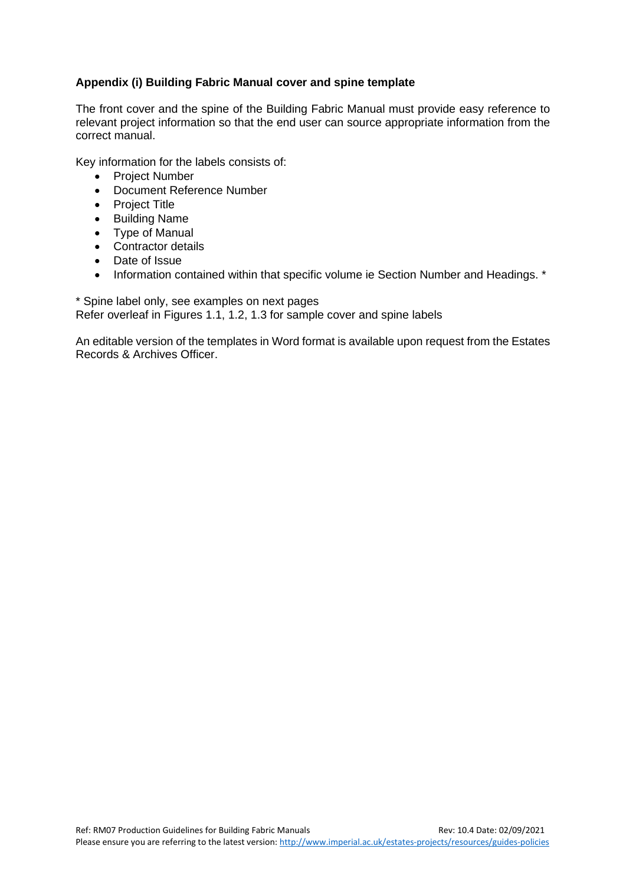#### <span id="page-15-0"></span>**Appendix (i) Building Fabric Manual cover and spine template**

The front cover and the spine of the Building Fabric Manual must provide easy reference to relevant project information so that the end user can source appropriate information from the correct manual.

Key information for the labels consists of:

- Project Number
- Document Reference Number
- Project Title
- Building Name
- Type of Manual
- Contractor details
- Date of Issue
- Information contained within that specific volume ie Section Number and Headings. \*

\* Spine label only, see examples on next pages Refer overleaf in Figures 1.1, 1.2, 1.3 for sample cover and spine labels

An editable version of the templates in Word format is available upon request from the Estates Records & Archives Officer.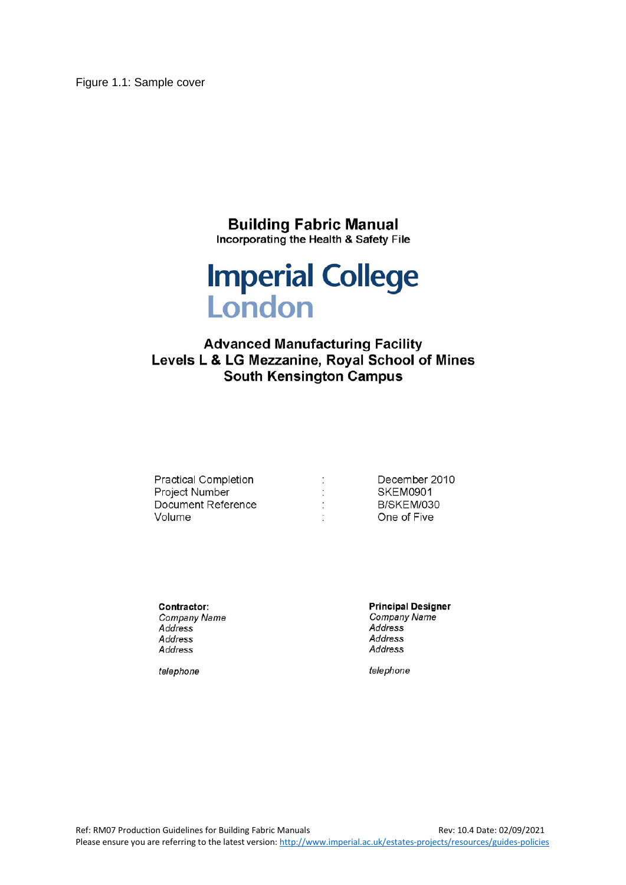Figure 1.1: Sample cover

# **Building Fabric Manual**

Incorporating the Health & Safety File

# **Imperial College** London

### **Advanced Manufacturing Facility** Levels L & LG Mezzanine, Royal School of Mines **South Kensington Campus**

| <b>Practical Completion</b> | December 2010 |
|-----------------------------|---------------|
| <b>Project Number</b>       | SKEM0901      |
| Document Reference          | B/SKEM/030    |
| Volume                      | One of Five   |

Contractor: Company Name Address Address Address

telephone

**Principal Designer** Company Name Address Address Address

telephone